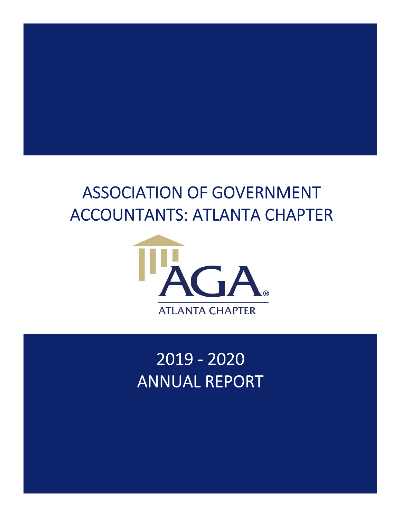## ASSOCIATION OF GOVERNMENT ACCOUNTANTS: ATLANTA CHAPTER



## 2019 - 2020 ANNUAL REPORT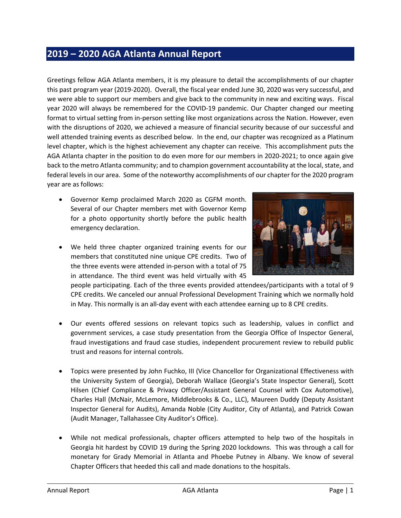## **2019 – 2020 AGA Atlanta Annual Report**

Greetings fellow AGA Atlanta members, it is my pleasure to detail the accomplishments of our chapter this past program year (2019-2020). Overall, the fiscal year ended June 30, 2020 was very successful, and we were able to support our members and give back to the community in new and exciting ways. Fiscal year 2020 will always be remembered for the COVID-19 pandemic. Our Chapter changed our meeting format to virtual setting from in-person setting like most organizations across the Nation. However, even with the disruptions of 2020, we achieved a measure of financial security because of our successful and well attended training events as described below. In the end, our chapter was recognized as a Platinum level chapter, which is the highest achievement any chapter can receive. This accomplishment puts the AGA Atlanta chapter in the position to do even more for our members in 2020-2021; to once again give back to the metro Atlanta community; and to champion government accountability at the local, state, and federal levels in our area. Some of the noteworthy accomplishments of our chapter for the 2020 program year are as follows:

- Governor Kemp proclaimed March 2020 as CGFM month. Several of our Chapter members met with Governor Kemp for a photo opportunity shortly before the public health emergency declaration.
- 
- We held three chapter organized training events for our members that constituted nine unique CPE credits. Two of the three events were attended in-person with a total of 75 in attendance. The third event was held virtually with 45

people participating. Each of the three events provided attendees/participants with a total of 9 CPE credits. We canceled our annual Professional Development Training which we normally hold in May. This normally is an all-day event with each attendee earning up to 8 CPE credits.

- Our events offered sessions on relevant topics such as leadership, values in conflict and government services, a case study presentation from the Georgia Office of Inspector General, fraud investigations and fraud case studies, independent procurement review to rebuild public trust and reasons for internal controls.
- Topics were presented by John Fuchko, III (Vice Chancellor for Organizational Effectiveness with the University System of Georgia), Deborah Wallace (Georgia's State Inspector General), Scott Hilsen (Chief Compliance & Privacy Officer/Assistant General Counsel with Cox Automotive), Charles Hall (McNair, McLemore, Middlebrooks & Co., LLC), Maureen Duddy (Deputy Assistant Inspector General for Audits), Amanda Noble (City Auditor, City of Atlanta), and Patrick Cowan (Audit Manager, Tallahassee City Auditor's Office).
- While not medical professionals, chapter officers attempted to help two of the hospitals in Georgia hit hardest by COVID 19 during the Spring 2020 lockdowns. This was through a call for monetary for Grady Memorial in Atlanta and Phoebe Putney in Albany. We know of several Chapter Officers that heeded this call and made donations to the hospitals.